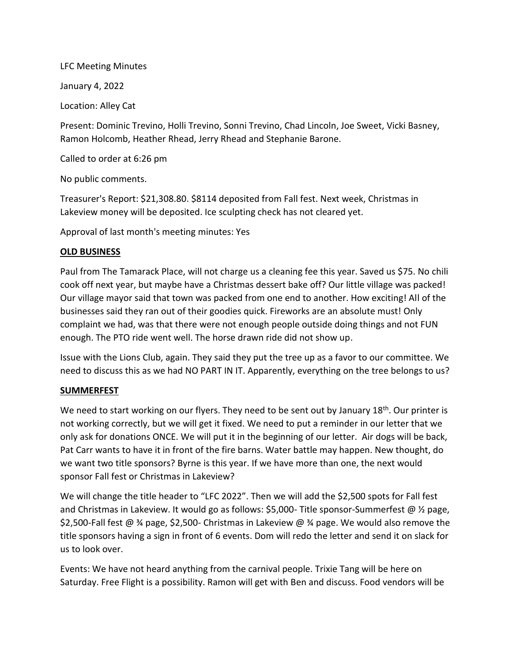## LFC Meeting Minutes

January 4, 2022

Location: Alley Cat

Present: Dominic Trevino, Holli Trevino, Sonni Trevino, Chad Lincoln, Joe Sweet, Vicki Basney, Ramon Holcomb, Heather Rhead, Jerry Rhead and Stephanie Barone.

Called to order at 6:26 pm

No public comments.

Treasurer's Report: \$21,308.80. \$8114 deposited from Fall fest. Next week, Christmas in Lakeview money will be deposited. Ice sculpting check has not cleared yet.

Approval of last month's meeting minutes: Yes

## **OLD BUSINESS**

Paul from The Tamarack Place, will not charge us a cleaning fee this year. Saved us \$75. No chili cook off next year, but maybe have a Christmas dessert bake off? Our little village was packed! Our village mayor said that town was packed from one end to another. How exciting! All of the businesses said they ran out of their goodies quick. Fireworks are an absolute must! Only complaint we had, was that there were not enough people outside doing things and not FUN enough. The PTO ride went well. The horse drawn ride did not show up.

Issue with the Lions Club, again. They said they put the tree up as a favor to our committee. We need to discuss this as we had NO PART IN IT. Apparently, everything on the tree belongs to us?

## **SUMMERFEST**

We need to start working on our flyers. They need to be sent out by January 18<sup>th</sup>. Our printer is not working correctly, but we will get it fixed. We need to put a reminder in our letter that we only ask for donations ONCE. We will put it in the beginning of our letter. Air dogs will be back, Pat Carr wants to have it in front of the fire barns. Water battle may happen. New thought, do we want two title sponsors? Byrne is this year. If we have more than one, the next would sponsor Fall fest or Christmas in Lakeview?

We will change the title header to "LFC 2022". Then we will add the \$2,500 spots for Fall fest and Christmas in Lakeview. It would go as follows: \$5,000- Title sponsor-Summerfest @ 1/2 page, \$2,500-Fall fest @ ¾ page, \$2,500- Christmas in Lakeview @ ¾ page. We would also remove the title sponsors having a sign in front of 6 events. Dom will redo the letter and send it on slack for us to look over.

Events: We have not heard anything from the carnival people. Trixie Tang will be here on Saturday. Free Flight is a possibility. Ramon will get with Ben and discuss. Food vendors will be